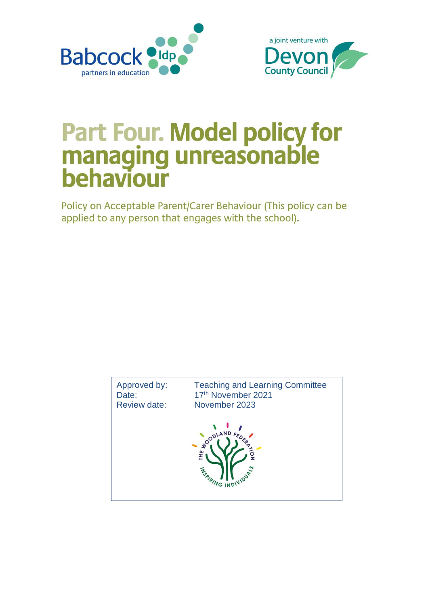



## **Part Four. Model policy for<br>managing unreasonable<br>behaviour**

Policy on Acceptable Parent/Carer Behaviour (This policy can be applied to any person that engages with the school).

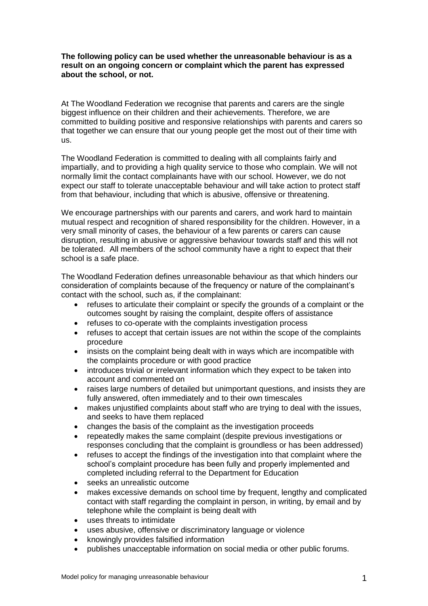## **The following policy can be used whether the unreasonable behaviour is as a result on an ongoing concern or complaint which the parent has expressed about the school, or not.**

At The Woodland Federation we recognise that parents and carers are the single biggest influence on their children and their achievements. Therefore, we are committed to building positive and responsive relationships with parents and carers so that together we can ensure that our young people get the most out of their time with us.

The Woodland Federation is committed to dealing with all complaints fairly and impartially, and to providing a high quality service to those who complain. We will not normally limit the contact complainants have with our school. However, we do not expect our staff to tolerate unacceptable behaviour and will take action to protect staff from that behaviour, including that which is abusive, offensive or threatening.

We encourage partnerships with our parents and carers, and work hard to maintain mutual respect and recognition of shared responsibility for the children. However, in a very small minority of cases, the behaviour of a few parents or carers can cause disruption, resulting in abusive or aggressive behaviour towards staff and this will not be tolerated. All members of the school community have a right to expect that their school is a safe place.

The Woodland Federation defines unreasonable behaviour as that which hinders our consideration of complaints because of the frequency or nature of the complainant's contact with the school, such as, if the complainant:

- refuses to articulate their complaint or specify the grounds of a complaint or the outcomes sought by raising the complaint, despite offers of assistance
- refuses to co-operate with the complaints investigation process
- refuses to accept that certain issues are not within the scope of the complaints procedure
- insists on the complaint being dealt with in ways which are incompatible with the complaints procedure or with good practice
- introduces trivial or irrelevant information which they expect to be taken into account and commented on
- raises large numbers of detailed but unimportant questions, and insists they are fully answered, often immediately and to their own timescales
- makes unjustified complaints about staff who are trying to deal with the issues, and seeks to have them replaced
- changes the basis of the complaint as the investigation proceeds
- repeatedly makes the same complaint (despite previous investigations or responses concluding that the complaint is groundless or has been addressed)
- refuses to accept the findings of the investigation into that complaint where the school's complaint procedure has been fully and properly implemented and completed including referral to the Department for Education
- seeks an unrealistic outcome
- makes excessive demands on school time by frequent, lengthy and complicated contact with staff regarding the complaint in person, in writing, by email and by telephone while the complaint is being dealt with
- uses threats to intimidate
- uses abusive, offensive or discriminatory language or violence
- knowingly provides falsified information
- publishes unacceptable information on social media or other public forums.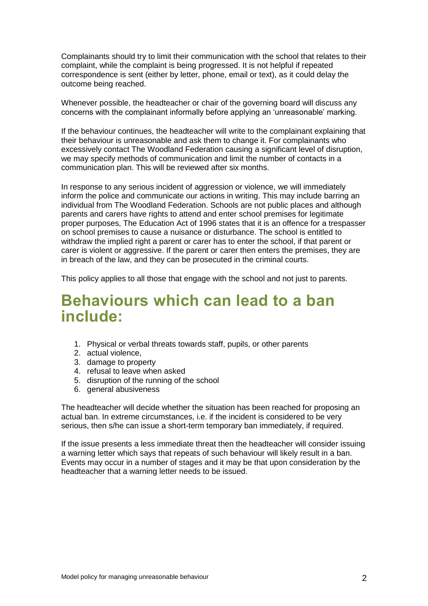Complainants should try to limit their communication with the school that relates to their complaint, while the complaint is being progressed. It is not helpful if repeated correspondence is sent (either by letter, phone, email or text), as it could delay the outcome being reached.

Whenever possible, the headteacher or chair of the governing board will discuss any concerns with the complainant informally before applying an 'unreasonable' marking.

If the behaviour continues, the headteacher will write to the complainant explaining that their behaviour is unreasonable and ask them to change it. For complainants who excessively contact The Woodland Federation causing a significant level of disruption, we may specify methods of communication and limit the number of contacts in a communication plan. This will be reviewed after six months.

In response to any serious incident of aggression or violence, we will immediately inform the police and communicate our actions in writing. This may include barring an individual from The Woodland Federation. Schools are not public places and although parents and carers have rights to attend and enter school premises for legitimate proper purposes, The Education Act of 1996 states that it is an offence for a trespasser on school premises to cause a nuisance or disturbance. The school is entitled to withdraw the implied right a parent or carer has to enter the school, if that parent or carer is violent or aggressive. If the parent or carer then enters the premises, they are in breach of the law, and they can be prosecuted in the criminal courts.

This policy applies to all those that engage with the school and not just to parents.

## **Behaviours which can lead to a ban include:**

- 1. Physical or verbal threats towards staff, pupils, or other parents
- 2. actual violence,
- 3. damage to property
- 4. refusal to leave when asked
- 5. disruption of the running of the school
- 6. general abusiveness

The headteacher will decide whether the situation has been reached for proposing an actual ban. In extreme circumstances, i.e. if the incident is considered to be very serious, then s/he can issue a short-term temporary ban immediately, if required.

If the issue presents a less immediate threat then the headteacher will consider issuing a warning letter which says that repeats of such behaviour will likely result in a ban. Events may occur in a number of stages and it may be that upon consideration by the headteacher that a warning letter needs to be issued.